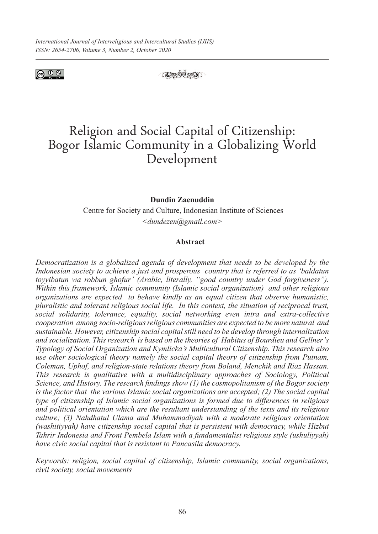



# Religion and Social Capital of Citizenship: Bogor Islamic Community in a Globalizing World Development

**Dundin Zaenuddin**

Centre for Society and Culture, Indonesian Institute of Sciences *<dundezen@gmail.com>*

#### **Abstract**

*Democratization is a globalized agenda of development that needs to be developed by the Indonesian society to achieve a just and prosperous country that is referred to as 'baldatun toyyibatun wa robbun ghofur' (Arabic, literally, "good country under God forgiveness"). Within this framework, Islamic community (Islamic social organization) and other religious organizations are expected to behave kindly as an equal citizen that observe humanistic, pluralistic and tolerant religious social life. In this context, the situation of reciprocal trust, social solidarity, tolerance, equality, social networking even intra and extra-collective cooperation among socio-religious religious communities are expected to be more natural and sustainable. However, citizenship social capital still need to be develop through internalization and socialization. This research is based on the theories of Habitus of Bourdieu and Gellner's Typology of Social Organization and Kymlicka's Multicultural Citizenship. This research also use other sociological theory namely the social capital theory of citizenship from Putnam, Coleman, Uphof, and religion-state relations theory from Boland, Menchik and Riaz Hassan. This research is qualitative with a multidisciplinary approaches of Sociology, Political Science, and History. The research findings show (1) the cosmopolitanism of the Bogor society is the factor that the various Islamic social organizations are accepted; (2) The social capital type of citizenship of Islamic social organizations is formed due to differences in religious and political orientation which are the resultant understanding of the texts and its religious culture; (3) Nahdhatul Ulama and Muhammadiyah with a moderate religious orientation (washitiyyah) have citizenship social capital that is persistent with democracy, while Hizbut Tahrir Indonesia and Front Pembela Islam with a fundamentalist religious style (ushuliyyah) have civic social capital that is resistant to Pancasila democracy.*

*Keywords: religion, social capital of citizenship, Islamic community, social organizations, civil society, social movements*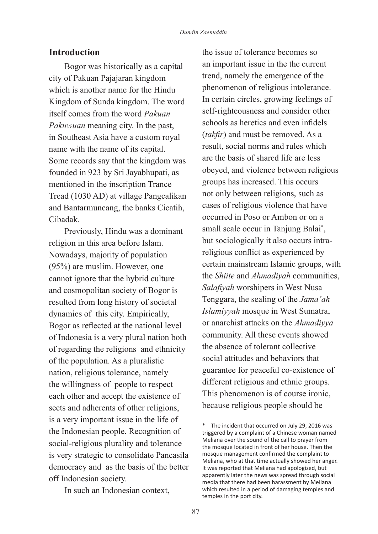### **Introduction**

Bogor was historically as a capital city of Pakuan Pajajaran kingdom which is another name for the Hindu Kingdom of Sunda kingdom. The word itself comes from the word *Pakuan Pakuwuan* meaning city. In the past, in Southeast Asia have a custom royal name with the name of its capital. Some records say that the kingdom was founded in 923 by Sri Jayabhupati, as mentioned in the inscription Trance Tread (1030 AD) at village Pangcalikan and Bantarmuncang, the banks Cicatih, Cibadak.

Previously, Hindu was a dominant religion in this area before Islam. Nowadays, majority of population (95%) are muslim. However, one cannot ignore that the hybrid culture and cosmopolitan society of Bogor is resulted from long history of societal dynamics of this city. Empirically, Bogor as reflected at the national level of Indonesia is a very plural nation both of regarding the religions and ethnicity of the population. As a pluralistic nation, religious tolerance, namely the willingness of people to respect each other and accept the existence of sects and adherents of other religions, is a very important issue in the life of the Indonesian people. Recognition of social-religious plurality and tolerance is very strategic to consolidate Pancasila democracy and as the basis of the better off Indonesian society.

In such an Indonesian context,

the issue of tolerance becomes so an important issue in the the current trend, namely the emergence of the phenomenon of religious intolerance. In certain circles, growing feelings of self-righteousness and consider other schools as heretics and even infidels (*takfir*) and must be removed. As a result, social norms and rules which are the basis of shared life are less obeyed, and violence between religious groups has increased. This occurs not only between religions, such as cases of religious violence that have occurred in Poso or Ambon or on a small scale occur in Tanjung Balai\* , but sociologically it also occurs intrareligious conflict as experienced by certain mainstream Islamic groups, with the *Shiite* and *Ahmadiyah* communities, *Salafiyah* worshipers in West Nusa Tenggara, the sealing of the *Jama'ah Islamiyyah* mosque in West Sumatra, or anarchist attacks on the *Ahmadiyya* community. All these events showed the absence of tolerant collective social attitudes and behaviors that guarantee for peaceful co-existence of different religious and ethnic groups. This phenomenon is of course ironic, because religious people should be

<sup>\*</sup> The incident that occurred on July 29, 2016 was triggered by a complaint of a Chinese woman named Meliana over the sound of the call to prayer from the mosque located in front of her house. Then the mosque management confirmed the complaint to Meliana, who at that time actually showed her anger. It was reported that Meliana had apologized, but apparently later the news was spread through social media that there had been harassment by Meliana which resulted in a period of damaging temples and temples in the port city.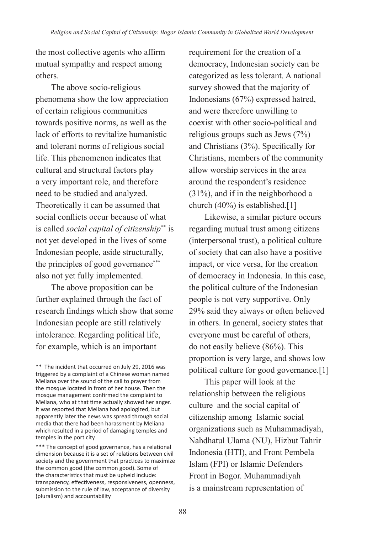the most collective agents who affirm mutual sympathy and respect among others.

The above socio-religious phenomena show the low appreciation of certain religious communities towards positive norms, as well as the lack of efforts to revitalize humanistic and tolerant norms of religious social life. This phenomenon indicates that cultural and structural factors play a very important role, and therefore need to be studied and analyzed. Theoretically it can be assumed that social conflicts occur because of what is called *social capital of citizenship*\*\* is not yet developed in the lives of some Indonesian people, aside structurally, the principles of good governance\*\*\* also not yet fully implemented.

The above proposition can be further explained through the fact of research findings which show that some Indonesian people are still relatively intolerance. Regarding political life, for example, which is an important

\*\* The incident that occurred on July 29, 2016 was triggered by a complaint of a Chinese woman named Meliana over the sound of the call to prayer from the mosque located in front of her house. Then the mosque management confirmed the complaint to Meliana, who at that time actually showed her anger. It was reported that Meliana had apologized, but apparently later the news was spread through social media that there had been harassment by Meliana which resulted in a period of damaging temples and temples in the port city

\*\*\* The concept of good governance, has a relational dimension because it is a set of relations between civil society and the government that practices to maximize the common good (the common good). Some of the characteristics that must be upheld include: transparency, effectiveness, responsiveness, openness, submission to the rule of law, acceptance of diversity (pluralism) and accountability

requirement for the creation of a democracy, Indonesian society can be categorized as less tolerant. A national survey showed that the majority of Indonesians (67%) expressed hatred, and were therefore unwilling to coexist with other socio-political and religious groups such as Jews (7%) and Christians (3%). Specifically for Christians, members of the community allow worship services in the area around the respondent's residence (31%), and if in the neighborhood a church (40%) is established.[1]

Likewise, a similar picture occurs regarding mutual trust among citizens (interpersonal trust), a political culture of society that can also have a positive impact, or vice versa, for the creation of democracy in Indonesia. In this case, the political culture of the Indonesian people is not very supportive. Only 29% said they always or often believed in others. In general, society states that everyone must be careful of others, do not easily believe (86%). This proportion is very large, and shows low political culture for good governance.[1]

This paper will look at the relationship between the religious culture and the social capital of citizenship among Islamic social organizations such as Muhammadiyah, Nahdhatul Ulama (NU), Hizbut Tahrir Indonesia (HTI), and Front Pembela Islam (FPI) or Islamic Defenders Front in Bogor. Muhammadiyah is a mainstream representation of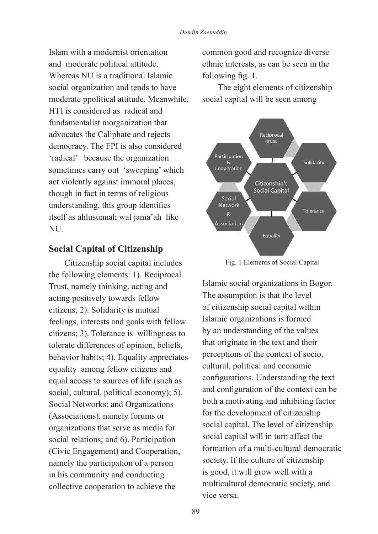Islam with a modernist orientation and moderate political attitude. Whereas NU is a traditional Islamic social organization and tends to have moderate ppolitical attitude. Meanwhile, HTI is considered as radical and fundamentalist morganization that advocates the Caliphate and rejects democracy. The FPI is also considered 'radical' because the organization sometimes carry out 'sweeping' which act violently against immoral places, though in fact in terms of religious understanding, this group identifies itself as ahlusunnah wal jama'ah like NU.

#### **Social Capital of Citizenship**

Citizenship social capital includes the following elements: 1). Reciprocal Trust, namely thinking, acting and acting positively towards fellow citizens; 2). Solidarity is mutual feelings, interests and goals with fellow citizens; 3). Tolerance is willingness to tolerate differences of opinion, beliefs, behavior habits; 4). Equality appreciates equality among fellow citizens and equal access to sources of life (such as social, cultural, political economy); 5). Social Networks: and Organizations (Associations), namely forums or organizations that serve as media for social relations; and 6). Participation (Civic Engagement) and Cooperation, namely the participation of a person in his community and conducting collective cooperation to achieve the

common good and recognize diverse ethnic interests, as can be seen in the following fig. 1.

The eight elements of citizenship social capital will be seen among



Fig. 1 Elements of Social Capital

Islamic social organizations in Bogor. The assumption is that the level of citizenship social capital within Islamic organizations is formed by an understanding of the values that originate in the text and their perceptions of the context of socio, cultural, political and economic configurations. Understanding the text and configuration of the context can be both a motivating and inhibiting factor for the development of citizenship social capital. The level of citizenship social capital will in turn affect the formation of a multi-cultural democratic society. If the culture of citizenship is good, it will grow well with a multicultural democratic society, and vice versa.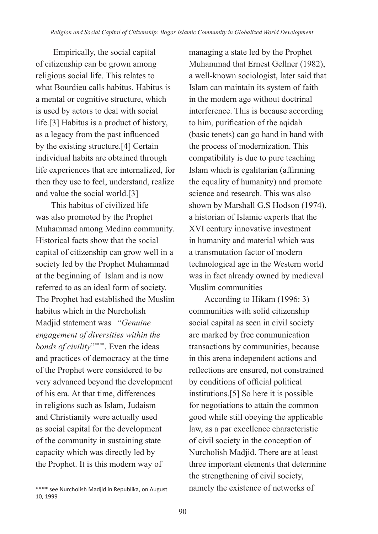Empirically, the social capital of citizenship can be grown among religious social life. This relates to what Bourdieu calls habitus. Habitus is a mental or cognitive structure, which is used by actors to deal with social life.[3] Habitus is a product of history, as a legacy from the past influenced by the existing structure.[4] Certain individual habits are obtained through life experiences that are internalized, for then they use to feel, understand, realize and value the social world.[3]

This habitus of civilized life was also promoted by the Prophet Muhammad among Medina community. Historical facts show that the social capital of citizenship can grow well in a society led by the Prophet Muhammad at the beginning of Islam and is now referred to as an ideal form of society. The Prophet had established the Muslim habitus which in the Nurcholish Madjid statement was "*Genuine engagement of diversities within the bonds of civility*"\*\*\*\*. Even the ideas and practices of democracy at the time of the Prophet were considered to be very advanced beyond the development of his era. At that time, differences in religions such as Islam, Judaism and Christianity were actually used as social capital for the development of the community in sustaining state capacity which was directly led by the Prophet. It is this modern way of

\*\*\*\* see Nurcholish Madjid in Republika, on August 10, 1999

managing a state led by the Prophet Muhammad that Ernest Gellner (1982), a well-known sociologist, later said that Islam can maintain its system of faith in the modern age without doctrinal interference. This is because according to him, purification of the aqidah (basic tenets) can go hand in hand with the process of modernization. This compatibility is due to pure teaching Islam which is egalitarian (affirming the equality of humanity) and promote science and research. This was also shown by Marshall G.S Hodson (1974), a historian of Islamic experts that the XVI century innovative investment in humanity and material which was a transmutation factor of modern technological age in the Western world was in fact already owned by medieval Muslim communities

According to Hikam (1996: 3) communities with solid citizenship social capital as seen in civil society are marked by free communication transactions by communities, because in this arena independent actions and reflections are ensured, not constrained by conditions of official political institutions.[5] So here it is possible for negotiations to attain the common good while still obeying the applicable law, as a par excellence characteristic of civil society in the conception of Nurcholish Madjid. There are at least three important elements that determine the strengthening of civil society, namely the existence of networks of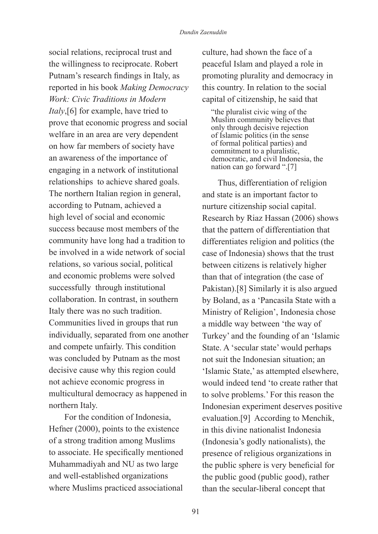social relations, reciprocal trust and the willingness to reciprocate. Robert Putnam's research findings in Italy, as reported in his book *Making Democracy Work: Civic Traditions in Modern Italy*,[6] for example, have tried to prove that economic progress and social welfare in an area are very dependent on how far members of society have an awareness of the importance of engaging in a network of institutional relationships to achieve shared goals. The northern Italian region in general, according to Putnam, achieved a high level of social and economic success because most members of the community have long had a tradition to be involved in a wide network of social relations, so various social, political and economic problems were solved successfully through institutional collaboration. In contrast, in southern Italy there was no such tradition. Communities lived in groups that run individually, separated from one another and compete unfairly. This condition was concluded by Putnam as the most decisive cause why this region could not achieve economic progress in multicultural democracy as happened in northern Italy.

For the condition of Indonesia, Hefner (2000), points to the existence of a strong tradition among Muslims to associate. He specifically mentioned Muhammadiyah and NU as two large and well-established organizations where Muslims practiced associational

culture, had shown the face of a peaceful Islam and played a role in promoting plurality and democracy in this country. In relation to the social capital of citizenship, he said that

"the pluralist civic wing of the Muslim community believes that only through decisive rejection of Islamic politics (in the sense of formal political parties) and commitment to a pluralistic, democratic, and civil Indonesia, the nation can go forward ".[7]

Thus, differentiation of religion and state is an important factor to nurture citizenship social capital. Research by Riaz Hassan (2006) shows that the pattern of differentiation that differentiates religion and politics (the case of Indonesia) shows that the trust between citizens is relatively higher than that of integration (the case of Pakistan).[8] Similarly it is also argued by Boland, as a 'Pancasila State with a Ministry of Religion', Indonesia chose a middle way between 'the way of Turkey' and the founding of an 'Islamic State. A 'secular state' would perhaps not suit the Indonesian situation; an 'Islamic State,' as attempted elsewhere, would indeed tend 'to create rather that to solve problems.' For this reason the Indonesian experiment deserves positive evaluation.[9] According to Menchik, in this divine nationalist Indonesia (Indonesia's godly nationalists), the presence of religious organizations in the public sphere is very beneficial for the public good (public good), rather than the secular-liberal concept that

91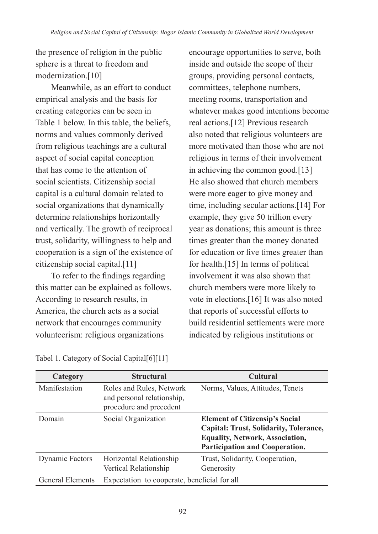the presence of religion in the public sphere is a threat to freedom and modernization.[10]

Meanwhile, as an effort to conduct empirical analysis and the basis for creating categories can be seen in Table 1 below. In this table, the beliefs, norms and values commonly derived from religious teachings are a cultural aspect of social capital conception that has come to the attention of social scientists. Citizenship social capital is a cultural domain related to social organizations that dynamically determine relationships horizontally and vertically. The growth of reciprocal trust, solidarity, willingness to help and cooperation is a sign of the existence of citizenship social capital.[11]

To refer to the findings regarding this matter can be explained as follows. According to research results, in America, the church acts as a social network that encourages community volunteerism: religious organizations

encourage opportunities to serve, both inside and outside the scope of their groups, providing personal contacts, committees, telephone numbers, meeting rooms, transportation and whatever makes good intentions become real actions.[12] Previous research also noted that religious volunteers are more motivated than those who are not religious in terms of their involvement in achieving the common good.[13] He also showed that church members were more eager to give money and time, including secular actions.[14] For example, they give 50 trillion every year as donations; this amount is three times greater than the money donated for education or five times greater than for health.[15] In terms of political involvement it was also shown that church members were more likely to vote in elections.[16] It was also noted that reports of successful efforts to build residential settlements were more indicated by religious institutions or

| Category                | <b>Structural</b>                                                                 | <b>Cultural</b>                                                                                                                                             |
|-------------------------|-----------------------------------------------------------------------------------|-------------------------------------------------------------------------------------------------------------------------------------------------------------|
| Manifestation           | Roles and Rules, Network<br>and personal relationship,<br>procedure and precedent | Norms, Values, Attitudes, Tenets                                                                                                                            |
| Domain                  | Social Organization                                                               | <b>Element of Citizensip's Social</b><br>Capital: Trust, Solidarity, Tolerance,<br><b>Equality, Network, Association,</b><br>Participation and Cooperation. |
| Dynamic Factors         | Horizontal Relationship<br>Vertical Relationship                                  | Trust, Solidarity, Cooperation,<br>Generosity                                                                                                               |
| <b>General Elements</b> | Expectation to cooperate, beneficial for all                                      |                                                                                                                                                             |
|                         |                                                                                   |                                                                                                                                                             |

Tabel 1. Category of Social Capital[6][11]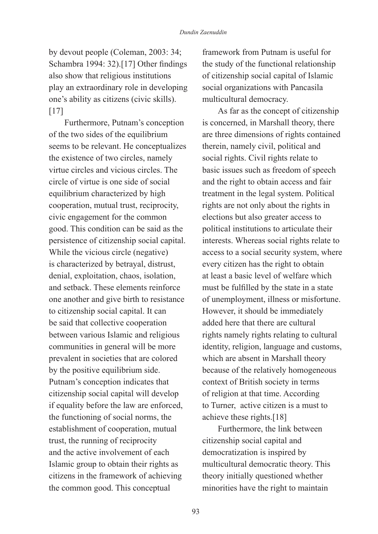by devout people (Coleman, 2003: 34; Schambra 1994: 32).[17] Other findings also show that religious institutions play an extraordinary role in developing one's ability as citizens (civic skills). [17]

Furthermore, Putnam's conception of the two sides of the equilibrium seems to be relevant. He conceptualizes the existence of two circles, namely virtue circles and vicious circles. The circle of virtue is one side of social equilibrium characterized by high cooperation, mutual trust, reciprocity, civic engagement for the common good. This condition can be said as the persistence of citizenship social capital. While the vicious circle (negative) is characterized by betrayal, distrust, denial, exploitation, chaos, isolation, and setback. These elements reinforce one another and give birth to resistance to citizenship social capital. It can be said that collective cooperation between various Islamic and religious communities in general will be more prevalent in societies that are colored by the positive equilibrium side. Putnam's conception indicates that citizenship social capital will develop if equality before the law are enforced, the functioning of social norms, the establishment of cooperation, mutual trust, the running of reciprocity and the active involvement of each Islamic group to obtain their rights as citizens in the framework of achieving the common good. This conceptual

framework from Putnam is useful for the study of the functional relationship of citizenship social capital of Islamic social organizations with Pancasila multicultural democracy.

As far as the concept of citizenship is concerned, in Marshall theory, there are three dimensions of rights contained therein, namely civil, political and social rights. Civil rights relate to basic issues such as freedom of speech and the right to obtain access and fair treatment in the legal system. Political rights are not only about the rights in elections but also greater access to political institutions to articulate their interests. Whereas social rights relate to access to a social security system, where every citizen has the right to obtain at least a basic level of welfare which must be fulfilled by the state in a state of unemployment, illness or misfortune. However, it should be immediately added here that there are cultural rights namely rights relating to cultural identity, religion, language and customs, which are absent in Marshall theory because of the relatively homogeneous context of British society in terms of religion at that time. According to Turner, active citizen is a must to achieve these rights.[18]

Furthermore, the link between citizenship social capital and democratization is inspired by multicultural democratic theory. This theory initially questioned whether minorities have the right to maintain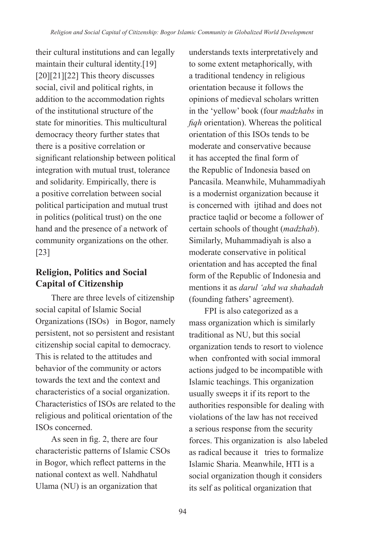their cultural institutions and can legally maintain their cultural identity.[19] [20][21][22] This theory discusses social, civil and political rights, in addition to the accommodation rights of the institutional structure of the state for minorities. This multicultural democracy theory further states that there is a positive correlation or significant relationship between political integration with mutual trust, tolerance and solidarity. Empirically, there is a positive correlation between social political participation and mutual trust in politics (political trust) on the one hand and the presence of a network of community organizations on the other. [23]

# **Religion, Politics and Social Capital of Citizenship**

There are three levels of citizenship social capital of Islamic Social Organizations (ISOs) in Bogor, namely persistent, not so persistent and resistant citizenship social capital to democracy. This is related to the attitudes and behavior of the community or actors towards the text and the context and characteristics of a social organization. Characteristics of ISOs are related to the religious and political orientation of the ISOs concerned.

As seen in fig. 2, there are four characteristic patterns of Islamic CSOs in Bogor, which reflect patterns in the national context as well. Nahdhatul Ulama (NU) is an organization that

understands texts interpretatively and to some extent metaphorically, with a traditional tendency in religious orientation because it follows the opinions of medieval scholars written in the 'yellow' book (four *madzhabs* in *fiqh* orientation). Whereas the political orientation of this ISOs tends to be moderate and conservative because it has accepted the final form of the Republic of Indonesia based on Pancasila. Meanwhile, Muhammadiyah is a modernist organization because it is concerned with ijtihad and does not practice taqlid or become a follower of certain schools of thought (*madzhab*). Similarly, Muhammadiyah is also a moderate conservative in political orientation and has accepted the final form of the Republic of Indonesia and mentions it as *darul 'ahd wa shahadah* (founding fathers' agreement).

FPI is also categorized as a mass organization which is similarly traditional as NU, but this social organization tends to resort to violence when confronted with social immoral actions judged to be incompatible with Islamic teachings. This organization usually sweeps it if its report to the authorities responsible for dealing with violations of the law has not received a serious response from the security forces. This organization is also labeled as radical because it tries to formalize Islamic Sharia. Meanwhile, HTI is a social organization though it considers its self as political organization that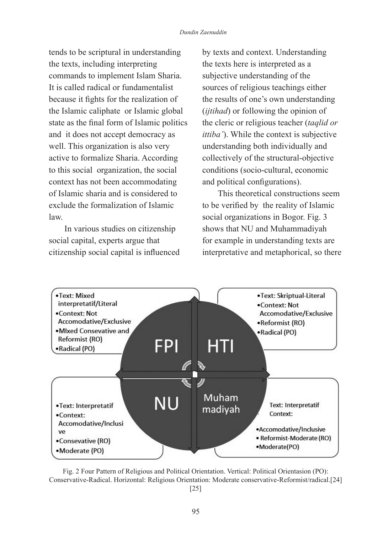tends to be scriptural in understanding the texts, including interpreting commands to implement Islam Sharia. It is called radical or fundamentalist because it fights for the realization of the Islamic caliphate or Islamic global state as the final form of Islamic politics and it does not accept democracy as well. This organization is also very active to formalize Sharia. According to this social organization, the social context has not been accommodating of Islamic sharia and is considered to exclude the formalization of Islamic law.

In various studies on citizenship social capital, experts argue that citizenship social capital is influenced

by texts and context. Understanding the texts here is interpreted as a subjective understanding of the sources of religious teachings either the results of one's own understanding (*ijtihad*) or following the opinion of the cleric or religious teacher (*taqlid or ittiba'*). While the context is subjective understanding both individually and collectively of the structural-objective conditions (socio-cultural, economic and political configurations).

This theoretical constructions seem to be verified by the reality of Islamic social organizations in Bogor. Fig. 3 shows that NU and Muhammadiyah for example in understanding texts are interpretative and metaphorical, so there



Fig. 2 Four Pattern of Religious and Political Orientation. Vertical: Political Orientasion (PO): Conservative-Radical. Horizontal: Religious Orientation: Moderate conservative-Reformist/radical.[24] [25]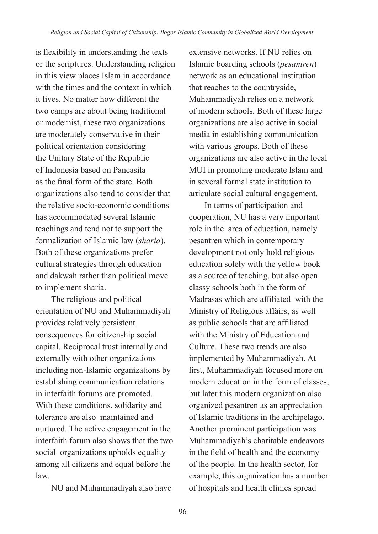is flexibility in understanding the texts or the scriptures. Understanding religion in this view places Islam in accordance with the times and the context in which it lives. No matter how different the two camps are about being traditional or modernist, these two organizations are moderately conservative in their political orientation considering the Unitary State of the Republic of Indonesia based on Pancasila as the final form of the state. Both organizations also tend to consider that the relative socio-economic conditions has accommodated several Islamic teachings and tend not to support the formalization of Islamic law (*sharia*). Both of these organizations prefer cultural strategies through education and dakwah rather than political move to implement sharia.

The religious and political orientation of NU and Muhammadiyah provides relatively persistent consequences for citizenship social capital. Reciprocal trust internally and externally with other organizations including non-Islamic organizations by establishing communication relations in interfaith forums are promoted. With these conditions, solidarity and tolerance are also maintained and nurtured. The active engagement in the interfaith forum also shows that the two social organizations upholds equality among all citizens and equal before the law.

NU and Muhammadiyah also have

extensive networks. If NU relies on Islamic boarding schools (*pesantren*) network as an educational institution that reaches to the countryside, Muhammadiyah relies on a network of modern schools. Both of these large organizations are also active in social media in establishing communication with various groups. Both of these organizations are also active in the local MUI in promoting moderate Islam and in several formal state institution to articulate social cultural engagement.

In terms of participation and cooperation, NU has a very important role in the area of education, namely pesantren which in contemporary development not only hold religious education solely with the yellow book as a source of teaching, but also open classy schools both in the form of Madrasas which are affiliated with the Ministry of Religious affairs, as well as public schools that are affiliated with the Ministry of Education and Culture. These two trends are also implemented by Muhammadiyah. At first, Muhammadiyah focused more on modern education in the form of classes, but later this modern organization also organized pesantren as an appreciation of Islamic traditions in the archipelago. Another prominent participation was Muhammadiyah's charitable endeavors in the field of health and the economy of the people. In the health sector, for example, this organization has a number of hospitals and health clinics spread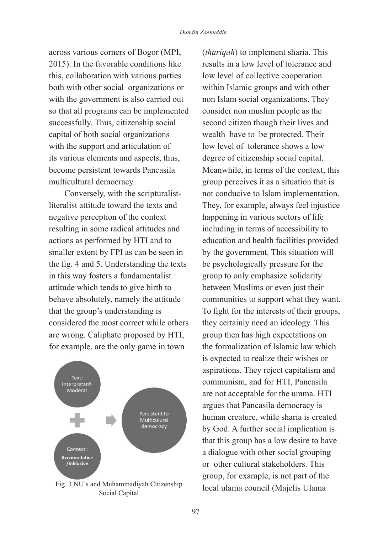across various corners of Bogor (MPI, 2015). In the favorable conditions like this, collaboration with various parties both with other social organizations or with the government is also carried out so that all programs can be implemented successfully. Thus, citizenship social capital of both social organizations with the support and articulation of its various elements and aspects, thus, become persistent towards Pancasila multicultural democracy.

Conversely, with the scripturalistliteralist attitude toward the texts and negative perception of the context resulting in some radical attitudes and actions as performed by HTI and to smaller extent by FPI as can be seen in the fig. 4 and 5. Understanding the texts in this way fosters a fundamentalist attitude which tends to give birth to behave absolutely, namely the attitude that the group's understanding is considered the most correct while others are wrong. Caliphate proposed by HTI, for example, are the only game in town



Fig. 3 NU's and Muhammadiyah Citizenship Social Capital

(*thariqah*) to implement sharia. This results in a low level of tolerance and low level of collective cooperation within Islamic groups and with other non Islam social organizations. They consider non muslim people as the second citizen though their lives and wealth have to be protected. Their low level of tolerance shows a low degree of citizenship social capital. Meanwhile, in terms of the context, this group perceives it as a situation that is not conducive to Islam implementation. They, for example, always feel injustice happening in various sectors of life including in terms of accessibility to education and health facilities provided by the government. This situation will be psychologically pressure for the group to only emphasize solidarity between Muslims or even just their communities to support what they want. To fight for the interests of their groups, they certainly need an ideology. This group then has high expectations on the formalization of Islamic law which is expected to realize their wishes or aspirations. They reject capitalism and communism, and for HTI, Pancasila are not acceptable for the umma. HTI argues that Pancasila democracy is human creature, while sharia is created by God. A further social implication is that this group has a low desire to have a dialogue with other social grouping or other cultural stakeholders. This group, for example, is not part of the local ulama council (Majelis Ulama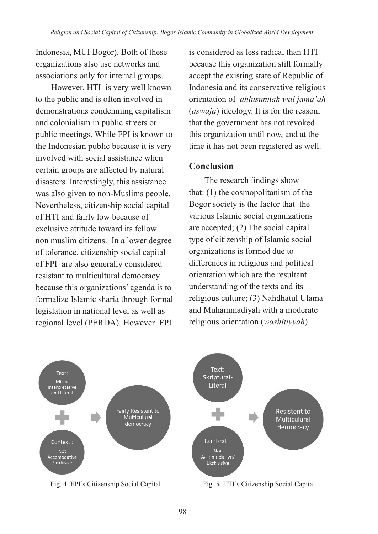Indonesia, MUI Bogor). Both of these organizations also use networks and associations only for internal groups.

However, HTI is very well known to the public and is often involved in demonstrations condemning capitalism and colonialism in public streets or public meetings. While FPI is known to the Indonesian public because it is very involved with social assistance when certain groups are affected by natural disasters. Interestingly, this assistance was also given to non-Muslims people. Nevertheless, citizenship social capital of HTI and fairly low because of exclusive attitude toward its fellow non muslim citizens. In a lower degree of tolerance, citizenship social capital of FPI are also generally considered resistant to multicultural democracy because this organizations' agenda is to formalize Islamic sharia through formal legislation in national level as well as regional level (PERDA). However FPI

is considered as less radical than HTI because this organization still formally accept the existing state of Republic of Indonesia and its conservative religious orientation of *ahlusunnah wal jama'ah* (*aswaja*) ideology. It is for the reason, that the government has not revoked this organization until now, and at the time it has not been registered as well.

## **Conclusion**

The research findings show that: (1) the cosmopolitanism of the Bogor society is the factor that the various Islamic social organizations are accepted; (2) The social capital type of citizenship of Islamic social organizations is formed due to differences in religious and political orientation which are the resultant understanding of the texts and its religious culture; (3) Nahdhatul Ulama and Muhammadiyah with a moderate religious orientation (*washitiyyah*)



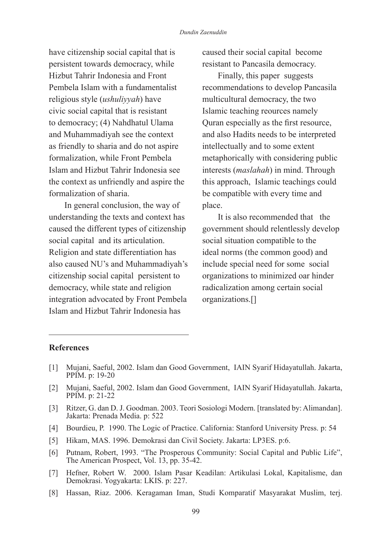have citizenship social capital that is persistent towards democracy, while Hizbut Tahrir Indonesia and Front Pembela Islam with a fundamentalist religious style (*ushuliyyah*) have civic social capital that is resistant to democracy; (4) Nahdhatul Ulama and Muhammadiyah see the context as friendly to sharia and do not aspire formalization, while Front Pembela Islam and Hizbut Tahrir Indonesia see the context as unfriendly and aspire the formalization of sharia.

In general conclusion, the way of understanding the texts and context has caused the different types of citizenship social capital and its articulation. Religion and state differentiation has also caused NU's and Muhammadiyah's citizenship social capital persistent to democracy, while state and religion integration advocated by Front Pembela Islam and Hizbut Tahrir Indonesia has

caused their social capital become resistant to Pancasila democracy.

Finally, this paper suggests recommendations to develop Pancasila multicultural democracy, the two Islamic teaching reources namely Quran especially as the first resource, and also Hadits needs to be interpreted intellectually and to some extent metaphorically with considering public interests (*maslahah*) in mind. Through this approach, Islamic teachings could be compatible with every time and place.

It is also recommended that the government should relentlessly develop social situation compatible to the ideal norms (the common good) and include special need for some social organizations to minimized oar hinder radicalization among certain social organizations.[]

#### **References**

- [1] Mujani, Saeful, 2002. Islam dan Good Government, IAIN Syarif Hidayatullah. Jakarta, PPIM. p: 19-20
- [2] Mujani, Saeful, 2002. Islam dan Good Government, IAIN Syarif Hidayatullah. Jakarta, PPIM. p: 21-22
- [3] Ritzer, G. dan D. J. Goodman. 2003. Teori Sosiologi Modern. [translated by: Alimandan]. Jakarta: Prenada Media. p: 522
- [4] Bourdieu, P. 1990. The Logic of Practice. California: Stanford University Press. p: 54
- [5] Hikam, MAS. 1996. Demokrasi dan Civil Society. Jakarta: LP3ES. p:6.
- [6] Putnam, Robert, 1993. "The Prosperous Community: Social Capital and Public Life", The American Prospect, Vol. 13, pp. 35-42.
- [7] Hefner, Robert W. 2000. Islam Pasar Keadilan: Artikulasi Lokal, Kapitalisme, dan Demokrasi. Yogyakarta: LKIS. p: 227.
- [8] Hassan, Riaz. 2006. Keragaman Iman, Studi Komparatif Masyarakat Muslim, terj.